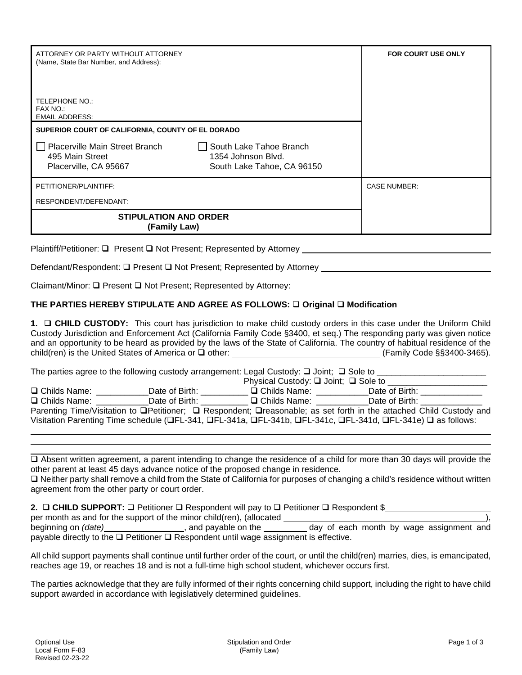| ATTORNEY OR PARTY WITHOUT ATTORNEY<br>(Name, State Bar Number, and Address):                                                                                     | <b>FOR COURT USE ONLY</b> |
|------------------------------------------------------------------------------------------------------------------------------------------------------------------|---------------------------|
|                                                                                                                                                                  |                           |
| TELEPHONE NO.:<br>FAX NO.:<br><b>EMAIL ADDRESS:</b>                                                                                                              |                           |
| SUPERIOR COURT OF CALIFORNIA, COUNTY OF EL DORADO                                                                                                                |                           |
| <b>Placerville Main Street Branch</b><br>South Lake Tahoe Branch<br>495 Main Street<br>1354 Johnson Blvd.<br>Placerville, CA 95667<br>South Lake Tahoe, CA 96150 |                           |
| PETITIONER/PLAINTIFF:                                                                                                                                            | <b>CASE NUMBER:</b>       |
| RESPONDENT/DEFENDANT:                                                                                                                                            |                           |
| <b>STIPULATION AND ORDER</b><br>(Family Law)                                                                                                                     |                           |

Plaintiff/Petitioner:  $\square$  Present  $\square$  Not Present; Represented by Attorney  $\_\_$ 

Defendant/Respondent: □ Present □ Not Present; Represented by Attorney \_\_\_\_\_\_\_\_\_

Claimant/Minor: Q Present Q Not Present; Represented by Attorney:

## **THE PARTIES HEREBY STIPULATE AND AGREE AS FOLLOWS: Original Modification**

1.  $\Box$  **CHILD CUSTODY:** This court has jurisdiction to make child custody orders in this case under the Uniform Child Custody Jurisdiction and Enforcement Act (California Family Code §3400, et seq.) The responding party was given notice and an opportunity to be heard as provided by the laws of the State of California. The country of habitual residence of the child(ren) is the United States of America or  $\square$  other: (Family Code §§3400-3465).

| The parties agree to the following custody arrangement: Legal Custody: $\square$ Joint; $\square$ Sole to           |                |                                      |                                                                                                              |
|---------------------------------------------------------------------------------------------------------------------|----------------|--------------------------------------|--------------------------------------------------------------------------------------------------------------|
|                                                                                                                     |                | Physical Custody: □ Joint; □ Sole to |                                                                                                              |
| $\Box$ Childs Name:                                                                                                 | Date of Birth: | $\Box$ Childs Name:                  | Date of Birth:                                                                                               |
| $\Box$ Childs Name:                                                                                                 | Date of Birth: | $\Box$ Childs Name:                  | Date of Birth:                                                                                               |
| Parenting Time/Visitation to □Petitioner; □ Respondent; □reasonable; as set forth in the attached Child Custody and |                |                                      |                                                                                                              |
|                                                                                                                     |                |                                      | Visitation Parenting Time schedule (QFL-341, QFL-341a, QFL-341b, QFL-341c, QFL-341d, QFL-341e) Q as follows: |

 Absent written agreement, a parent intending to change the residence of a child for more than 30 days will provide the other parent at least 45 days advance notice of the proposed change in residence.  $\Box$  Neither party shall remove a child from the State of California for purposes of changing a child's residence without written agreement from the other party or court order.

**2. □ CHILD SUPPORT:** □ Petitioner □ Respondent will pay to □ Petitioner □ Respondent \$

per month as and for the support of the minor child(ren), (allocated  $\frac{\Box}{\Box}$  beginning on (date), and payable on the day of each month by wage assignment and payable directly to the  $\square$  Petitioner  $\square$  Respondent until wage assignment is effective.

All child support payments shall continue until further order of the court, or until the child(ren) marries, dies, is emancipated, reaches age 19, or reaches 18 and is not a full-time high school student, whichever occurs first.

The parties acknowledge that they are fully informed of their rights concerning child support, including the right to have child support awarded in accordance with legislatively determined guidelines.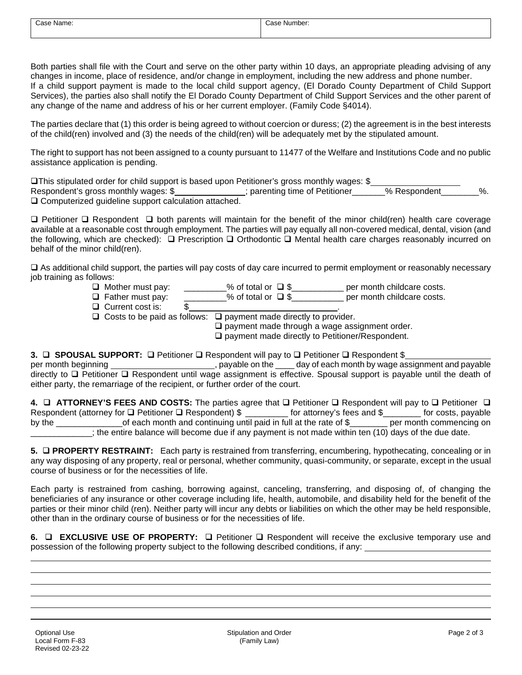Both parties shall file with the Court and serve on the other party within 10 days, an appropriate pleading advising of any changes in income, place of residence, and/or change in employment, including the new address and phone number. If a child support payment is made to the local child support agency, (El Dorado County Department of Child Support Services), the parties also shall notify the El Dorado County Department of Child Support Services and the other parent of any change of the name and address of his or her current employer. (Family Code §4014).

The parties declare that (1) this order is being agreed to without coercion or duress; (2) the agreement is in the best interests of the child(ren) involved and (3) the needs of the child(ren) will be adequately met by the stipulated amount.

The right to support has not been assigned to a county pursuant to 11477 of the Welfare and Institutions Code and no public assistance application is pending.

 $\Box$ This stipulated order for child support is based upon Petitioner's gross monthly wages: \$

Respondent's gross monthly wages: \$<br>Nota be respondently as in the condent of Petitioner \_\_\_\_\_\_\_% Respondent\_\_\_\_\_\_\_\_%. □ Computerized guideline support calculation attached.

 $\Box$  Petitioner  $\Box$  Respondent  $\Box$  both parents will maintain for the benefit of the minor child(ren) health care coverage available at a reasonable cost through employment. The parties will pay equally all non-covered medical, dental, vision (and the following, which are checked):  $\Box$  Prescription  $\Box$  Orthodontic  $\Box$  Mental health care charges reasonably incurred on behalf of the minor child(ren).

 $\Box$  As additional child support, the parties will pay costs of day care incurred to permit employment or reasonably necessary job training as follows:

- $\Box$  Mother must pay: \_\_\_\_\_\_\_\_% of total or  $\Box$  \$\_\_\_\_\_\_\_\_\_\_\_ per month childcare costs.<br> $\Box$  Father must pay:  $\Box$  % of total or  $\Box$  \$ per month childcare costs.
- $\Box$  Father must pay:  $\Box$  % of total or  $\Box$  \$ ber month childcare costs.
- $\Box$  Current cost is:  $\$\$

 $\Box$  Costs to be paid as follows:  $\Box$  payment made directly to provider.

 $\square$  payment made through a wage assignment order.

 $\square$  payment made directly to Petitioner/Respondent.

## **3. □ SPOUSAL SUPPORT:** □ Petitioner □ Respondent will pay to □ Petitioner □ Respondent \$<br>per month beginning per month by wage as

 $\Box$ , payable on the  $\Box$  day of each month by wage assignment and payable directly to  $\Box$  Petitioner  $\Box$  Respondent until wage assignment is effective. Spousal support is payable until the death of either party, the remarriage of the recipient, or further order of the court.

**4. □ ATTORNEY'S FEES AND COSTS:** The parties agree that **□** Petitioner **□** Respondent will pay to □ Petitioner □ Respondent (attorney for Petitioner Respondent) \$ \_\_\_\_\_\_\_\_\_ for attorney's fees and \$\_\_\_\_\_\_\_\_ for costs, payable of each month and continuing until paid in full at the rate of  $\frac{1}{2}$  per month commencing on \_\_\_\_\_\_\_\_\_\_\_\_\_; the entire balance will become due if any payment is not made within ten (10) days of the due date.

**5. □ PROPERTY RESTRAINT:** Each party is restrained from transferring, encumbering, hypothecating, concealing or in any way disposing of any property, real or personal, whether community, quasi-community, or separate, except in the usual course of business or for the necessities of life.

Each party is restrained from cashing, borrowing against, canceling, transferring, and disposing of, of changing the beneficiaries of any insurance or other coverage including life, health, automobile, and disability held for the benefit of the parties or their minor child (ren). Neither party will incur any debts or liabilities on which the other may be held responsible, other than in the ordinary course of business or for the necessities of life.

**6. □ EXCLUSIVE USE OF PROPERTY:** □ Petitioner □ Respondent will receive the exclusive temporary use and possession of the following property subject to the following described conditions, if any: